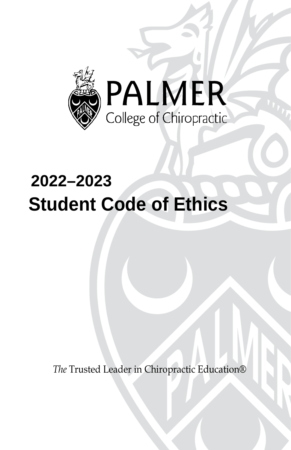

# **2022–2023 Student Code of Ethics**

*The* Trusted Leader in Chiropractic Education®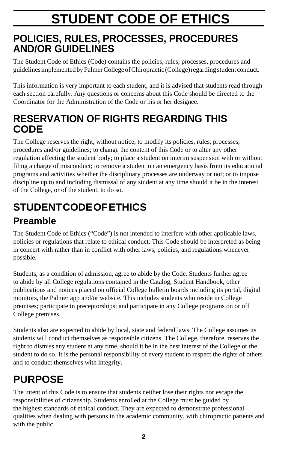# **STUDENT CODE OF ETHICS**

# **POLICIES, RULES, PROCESSES, PROCEDURES AND/OR GUIDELINES**

The Student Code of Ethics (Code) contains the policies, rules, processes, procedures and guidelines implemented by Palmer College of Chiropractic (College) regarding student conduct.

This information is very important to each student, and it is advised that students read through each section carefully. Any questions or concerns about this Code should be directed to the Coordinator for the Administration of the Code or his or her designee.

# **RESERVATION OF RIGHTS REGARDING THIS CODE**

The College reserves the right, without notice, to modify its policies, rules, processes, procedures and/or guidelines; to change the content of this Code or to alter any other regulation affecting the student body; to place a student on interim suspension with or without filing a charge of misconduct; to remove a student on an emergency basis from its educational programs and activities whether the disciplinary processes are underway or not; or to impose discipline up to and including dismissal of any student at any time should it be in the interest of the College, or of the student, to do so.

# **STUDENTCODEOFETHICS Preamble**

The Student Code of Ethics ("Code") is not intended to interfere with other applicable laws, policies or regulations that relate to ethical conduct. This Code should be interpreted as being in concert with rather than in conflict with other laws, policies, and regulations whenever possible.

Students, as a condition of admission, agree to abide by the Code. Students further agree to abide by all College regulations contained in the Catalog, Student Handbook, other publications and notices placed on official College bulletin boards including its portal, digital monitors, the Palmer app and/or website. This includes students who reside in College premises; participate in preceptorships; and participate in any College programs on or off College premises.

Students also are expected to abide by local, state and federal laws. The College assumes its students will conduct themselves as responsible citizens. The College, therefore, reserves the right to dismiss any student at any time, should it be in the best interest of the College or the student to do so. It is the personal responsibility of every student to respect the rights of others and to conduct themselves with integrity.

# **PURPOSE**

The intent of this Code is to ensure that students neither lose their rights nor escape the responsibilities of citizenship. Students enrolled at the College must be guided by the highest standards of ethical conduct. They are expected to demonstrate professional qualities when dealing with persons in the academic community, with chiropractic patients and with the public.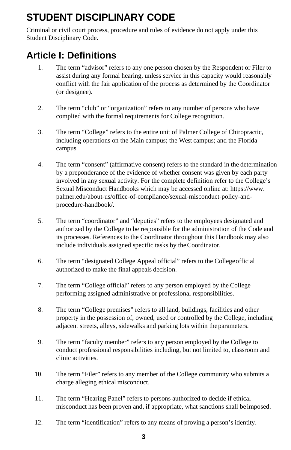# **STUDENT DISCIPLINARY CODE**

Criminal or civil court process, procedure and rules of evidence do not apply under this Student Disciplinary Code.

# **Article I: Definitions**

- 1. The term "advisor" refers to any one person chosen by the Respondent or Filer to assist during any formal hearing, unless service in this capacity would reasonably conflict with the fair application of the process as determined by the Coordinator (or designee).
- 2. The term "club" or "organization" refers to any number of persons who have complied with the formal requirements for College recognition.
- 3. The term "College" refers to the entire unit of Palmer College of Chiropractic, including operations on the Main campus; the West campus; and the Florida campus.
- 4. The term "consent" (affirmative consent) refers to the standard in the determination by a preponderance of the evidence of whether consent was given by each party involved in any sexual activity. For the complete definition refer to the College's Sexual Misconduct Handbooks which may be accessed online at[: https://www.](https://www/) [palmer.edu/about-us/office-of-compliance/sexual-misconduct-policy-and](https://palmer.edu/about-us/office-of-compliance/sexual-misconduct-policy-and)procedure-handbook/.
- 5. The term "coordinator" and "deputies" refers to the employees designated and authorized by the College to be responsible for the administration of the Code and its processes. References to the Coordinator throughout this Handbook may also include individuals assigned specific tasks by theCoordinator.
- 6. The term "designated College Appeal official" refers to the Collegeofficial authorized to make the final appeals decision.
- 7. The term "College official" refers to any person employed by the College performing assigned administrative or professional responsibilities.
- 8. The term "College premises" refers to all land, buildings, facilities and other property in the possession of, owned, used or controlled by the College, including adjacent streets, alleys, sidewalks and parking lots within theparameters.
- 9. The term "faculty member" refers to any person employed by the College to conduct professional responsibilities including, but not limited to, classroom and clinic activities.
- 10. The term "Filer" refers to any member of the College community who submits a charge alleging ethical misconduct.
- 11. The term "Hearing Panel" refers to persons authorized to decide if ethical misconduct has been proven and, if appropriate, what sanctions shall be imposed.
- 12. The term "identification" refers to any means of proving a person's identity.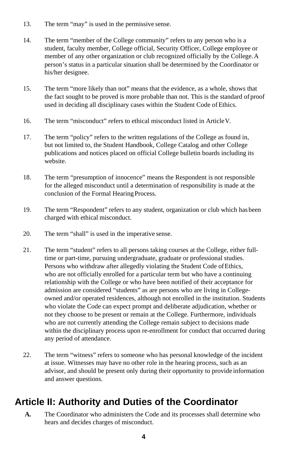- 13. The term "may" is used in the permissive sense.
- 14. The term "member of the College community" refers to any person who is a student, faculty member, College official, Security Officer, College employee or member of any other organization or club recognized officially by the College.A person's status in a particular situation shall be determined by the Coordinator or his/her designee.
- 15. The term "more likely than not" means that the evidence, as a whole, shows that the fact sought to be proved is more probable than not. This is the standard ofproof used in deciding all disciplinary cases within the Student Code of Ethics.
- 16. The term "misconduct" refers to ethical misconduct listed in ArticleV.
- 17. The term "policy" refers to the written regulations of the College as found in, but not limited to, the Student Handbook, College Catalog and other College publications and notices placed on official College bulletin boards including its website.
- 18. The term "presumption of innocence" means the Respondent is not responsible for the alleged misconduct until a determination of responsibility is made at the conclusion of the Formal Hearing Process.
- 19. The term "Respondent" refers to any student, organization or club which has been charged with ethical misconduct.
- 20. The term "shall" is used in the imperative sense.
- 21. The term "student" refers to all persons taking courses at the College, either fulltime or part-time, pursuing undergraduate, graduate or professional studies. Persons who withdraw after allegedly violating the Student Code of Ethics, who are not officially enrolled for a particular term but who have a continuing relationship with the College or who have been notified of their acceptance for admission are considered "students" as are persons who are living in Collegeowned and/or operated residences, although not enrolled in the institution. Students who violate the Code can expect prompt and deliberate adjudication, whether or not they choose to be present or remain at the College. Furthermore, individuals who are not currently attending the College remain subject to decisions made within the disciplinary process upon re-enrollment for conduct that occurred during any period of attendance.
- 22. The term "witness" refers to someone who has personal knowledge of the incident at issue. Witnesses may have no other role in the hearing process, such as an advisor, and should be present only during their opportunity to provide information and answer questions.

# **Article II: Authority and Duties of the Coordinator**

**A.** The Coordinator who administers the Code and its processes shall determine who hears and decides charges of misconduct.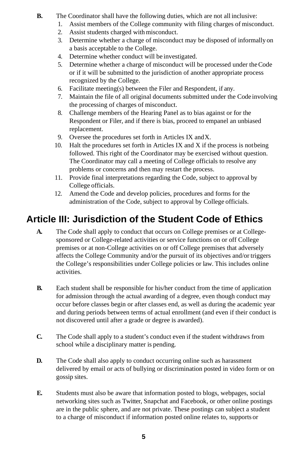- **B.** The Coordinator shall have the following duties, which are not all inclusive:
	- 1. Assist members of the College community with filing charges of misconduct.
	- 2. Assist students charged with misconduct.
	- 3. Determine whether a charge of misconduct may be disposed of informally on a basis acceptable to the College.
	- 4. Determine whether conduct will be investigated.
	- 5. Determine whether a charge of misconduct will be processed under theCode or if it will be submitted to the jurisdiction of another appropriate process recognized by the College.
	- 6. Facilitate meeting(s) between the Filer and Respondent, if any.
	- 7. Maintain the file of all original documents submitted under the Code involving the processing of charges of misconduct.
	- 8. Challenge members of the Hearing Panel as to bias against or for the Respondent or Filer, and if there is bias, proceed to empanel an unbiased replacement.
	- 9. Oversee the procedures set forth in Articles IX andX.
	- 10. Halt the procedures set forth in Articles IX and X if the process is notbeing followed. This right of the Coordinator may be exercised without question. The Coordinator may call a meeting of College officials to resolve any problems or concerns and then may restart the process.
	- 11. Provide final interpretations regarding the Code, subject to approval by College officials.
	- 12. Amend the Code and develop policies, procedures and forms for the administration of the Code, subject to approval by College officials.

# **Article III: Jurisdiction of the Student Code of Ethics**

- **A.** The Code shall apply to conduct that occurs on College premises or at Collegesponsored or College-related activities or service functions on or off College premises or at non-College activities on or off College premises that adversely affects the College Community and/or the pursuit of its objectives and/or triggers the College's responsibilities under College policies or law. This includes online activities.
- **B.** Each student shall be responsible for his/her conduct from the time of application for admission through the actual awarding of a degree, even though conduct may occur before classes begin or after classes end, as well as during the academic year and during periods between terms of actual enrollment (and even if their conduct is not discovered until after a grade or degree is awarded).
- **C.** The Code shall apply to a student's conduct even if the student withdraws from school while a disciplinary matter is pending.
- **D.** The Code shall also apply to conduct occurring online such as harassment delivered by email or acts of bullying or discrimination posted in video form or on gossip sites.
- **E.** Students must also be aware that information posted to blogs, webpages, social networking sites such as Twitter, Snapchat and Facebook, or other online postings are in the public sphere, and are not private. These postings can subject a student to a charge of misconduct if information posted online relates to, supports or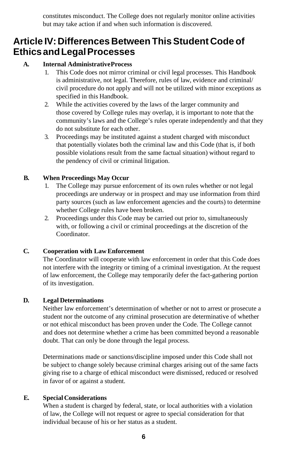constitutes misconduct. The College does not regularly monitor online activities but may take action if and when such information is discovered.

# **Article IV:Differences Between ThisStudent Code of EthicsandLegalProcesses**

### **A. Internal AdministrativeProcess**

- 1. This Code does not mirror criminal or civil legal processes. This Handbook is administrative, not legal. Therefore, rules of law, evidence and criminal/ civil procedure do not apply and will not be utilized with minor exceptions as specified in this Handbook.
- 2. While the activities covered by the laws of the larger community and those covered by College rules may overlap, it is important to note that the community's laws and the College's rules operate independently and that they do not substitute for each other.
- 3. Proceedings may be instituted against a student charged with misconduct that potentially violates both the criminal law and this Code (that is, if both possible violations result from the same factual situation) without regard to the pendency of civil or criminal litigation.

### **B. When Proceedings May Occur**

- The College may pursue enforcement of its own rules whether or not legal proceedings are underway or in prospect and may use information from third party sources (such as law enforcement agencies and the courts) to determine whether College rules have been broken.
- 2. Proceedings under this Code may be carried out prior to, simultaneously with, or following a civil or criminal proceedings at the discretion of the Coordinator.

### **C. Cooperation with Law Enforcement**

The Coordinator will cooperate with law enforcement in order that this Code does not interfere with the integrity or timing of a criminal investigation. At the request of law enforcement, the College may temporarily defer the fact-gathering portion of its investigation.

### **D. Legal Determinations**

Neither law enforcement's determination of whether or not to arrest or prosecute a student nor the outcome of any criminal prosecution are determinative of whether or not ethical misconduct has been proven under the Code. The College cannot and does not determine whether a crime has been committed beyond a reasonable doubt. That can only be done through the legal process.

Determinations made or sanctions/discipline imposed under this Code shall not be subject to change solely because criminal charges arising out of the same facts giving rise to a charge of ethical misconduct were dismissed, reduced or resolved in favor of or against a student.

### **E. Special Considerations**

When a student is charged by federal, state, or local authorities with a violation of law, the College will not request or agree to special consideration for that individual because of his or her status as a student.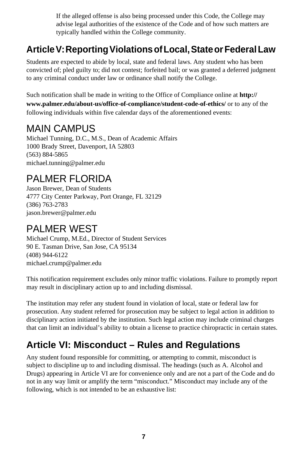If the alleged offense is also being processed under this Code, the College may advise legal authorities of the existence of the Code and of how such matters are typically handled within the College community.

# **ArticleV:ReportingViolationsofLocal,StateorFederalLaw**

Students are expected to abide by local, state and federal laws. Any student who has been convicted of; pled guilty to; did not contest; forfeited bail; or was granted a deferred judgment to any criminal conduct under law or ordinance shall notify the College.

Such notification shall be made in writing to the Office of Compliance online at **[http://](http://www.palmer.edu/about-us/office-of-compliance/student-code-of-ethics/) [www.palmer.edu/about-us/office-of-compliance/student-code-of-ethics/](http://www.palmer.edu/about-us/office-of-compliance/student-code-of-ethics/)** or to any of the following individuals within five calendar days of the aforementioned events:

# MAIN CAMPUS

Michael Tunning, D.C., M.S., Dean of Academic Affairs 1000 Brady Street, Davenport, IA 52803 (563) 884-5865 [michael.tunning@palmer.edu](mailto:michael.tunning@palmer.edu)

# PALMER FLORIDA

Jason Brewer, Dean of Students 4777 City Center Parkway, Port Orange, FL 32129 (386) 763-2783 [jason.brewer@palmer.edu](mailto:jason.brewer@palmer.edu)

# PALMER WEST

Michael Crump, M.Ed., Director of Student Services 90 E. Tasman Drive, San Jose, CA 95134 (408) 944-6122 [michael.crump@palmer.edu](mailto:michael.crump@palmer.edu)

This notification requirement excludes only minor traffic violations. Failure to promptly report may result in disciplinary action up to and including dismissal.

The institution may refer any student found in violation of local, state or federal law for prosecution. Any student referred for prosecution may be subject to legal action in addition to disciplinary action initiated by the institution. Such legal action may include criminal charges that can limit an individual's ability to obtain a license to practice chiropractic in certain states.

# **Article VI: Misconduct – Rules and Regulations**

Any student found responsible for committing, or attempting to commit, misconduct is subject to discipline up to and including dismissal. The headings (such as A. Alcohol and Drugs) appearing in Article VI are for convenience only and are not a part of the Code and do not in any way limit or amplify the term "misconduct." Misconduct may include any of the following, which is not intended to be an exhaustive list: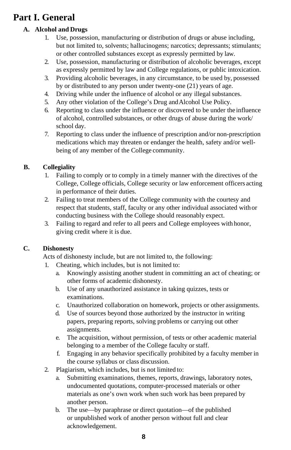# **Part I. General**

## **A. Alcohol and Drugs**

- 1. Use, possession, manufacturing or distribution of drugs or abuse including, but not limited to, solvents; hallucinogens; narcotics; depressants; stimulants; or other controlled substances except as expressly permitted by law.
- 2. Use, possession, manufacturing or distribution of alcoholic beverages, except as expressly permitted by law and College regulations, or public intoxication.
- 3. Providing alcoholic beverages, in any circumstance, to be used by, possessed by or distributed to any person under twenty-one (21) years of age.
- 4. Driving while under the influence of alcohol or any illegal substances.
- 5. Any other violation of the College's Drug andAlcohol Use Policy.
- 6. Reporting to class under the influence or discovered to be under the influence of alcohol, controlled substances, or other drugs of abuse during the work/ school day.
- 7. Reporting to class under the influence of prescription and/or non-prescription medications which may threaten or endanger the health, safety and/or wellbeing of any member of the College community.

## **B. Collegiality**

- 1. Failing to comply or to comply in a timely manner with the directives of the College, College officials, College security or law enforcement officers acting in performance of their duties.
- 2. Failing to treat members of the College community with the courtesy and respect that students, staff, faculty or any other individual associated with or conducting business with the College should reasonably expect.
- 3. Failing to regard and refer to all peers and College employees with honor, giving credit where it is due.

## **C. Dishonesty**

Acts of dishonesty include, but are not limited to, the following:

- 1. Cheating, which includes, but is not limited to:
	- a. Knowingly assisting another student in committing an act of cheating; or other forms of academic dishonesty.
	- b. Use of any unauthorized assistance in taking quizzes, tests or examinations.
	- c. Unauthorized collaboration on homework, projects or other assignments.
	- d. Use of sources beyond those authorized by the instructor in writing papers, preparing reports, solving problems or carrying out other assignments.
	- e. The acquisition, without permission, of tests or other academic material belonging to a member of the College faculty or staff.
	- f. Engaging in any behavior specifically prohibited by a faculty member in the course syllabus or class discussion.
- 2. Plagiarism, which includes, but is not limited to:
	- Submitting examinations, themes, reports, drawings, laboratory notes, undocumented quotations, computer-processed materials or other materials as one's own work when such work has been prepared by another person.
	- b. The use—by paraphrase or direct quotation—of the published or unpublished work of another person without full and clear acknowledgement.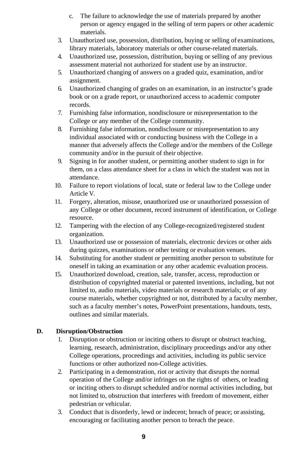- c. The failure to acknowledge the use of materials prepared by another person or agency engaged in the selling of term papers or other academic materials.
- 3. Unauthorized use, possession, distribution, buying or selling of examinations, library materials, laboratory materials or other course-related materials.
- 4. Unauthorized use, possession, distribution, buying or selling of any previous assessment material not authorized for student use by an instructor.
- 5. Unauthorized changing of answers on a graded quiz, examination, and/or assignment.
- 6. Unauthorized changing of grades on an examination, in an instructor's grade book or on a grade report, or unauthorized access to academic computer records.
- 7. Furnishing false information, nondisclosure or misrepresentation to the College or any member of the College community.
- 8. Furnishing false information, nondisclosure or misrepresentation to any individual associated with or conducting business with the College in a manner that adversely affects the College and/or the members of the College community and/or in the pursuit of their objective.
- 9. Signing in for another student, or permitting another student to sign in for them, on a class attendance sheet for a class in which the student was not in attendance.
- 10. Failure to report violations of local, state or federal law to the College under Article V.
- 11. Forgery, alteration, misuse, unauthorized use or unauthorized possession of any College or other document, record instrument of identification, or College resource.
- 12. Tampering with the election of any College-recognized/registered student organization.
- 13. Unauthorized use or possession of materials, electronic devices or other aids during quizzes, examinations or other testing or evaluation venues.
- 14. Substituting for another student or permitting another person to substitute for oneself in taking an examination or any other academic evaluation process.
- 15. Unauthorized download, creation, sale, transfer, access, reproduction or distribution of copyrighted material or patented inventions, including, but not limited to, audio materials, video materials or research materials; or of any course materials, whether copyrighted or not, distributed by a faculty member, such as a faculty member's notes, PowerPoint presentations, handouts, tests, outlines and similar materials.

## **D. Disruption/Obstruction**

- 1. Disruption or obstruction or inciting others to disrupt or obstruct teaching, learning, research, administration, disciplinary proceedings and/or any other College operations, proceedings and activities, including its public service functions or other authorized non-College activities.
- 2. Participating in a demonstration, riot or activity that disrupts the normal operation of the College and/or infringes on the rights of others, or leading or inciting others to disrupt scheduled and/or normal activities including, but not limited to, obstruction that interferes with freedom of movement, either pedestrian or vehicular.
- 3. Conduct that is disorderly, lewd or indecent; breach of peace; or assisting, encouraging or facilitating another person to breach the peace.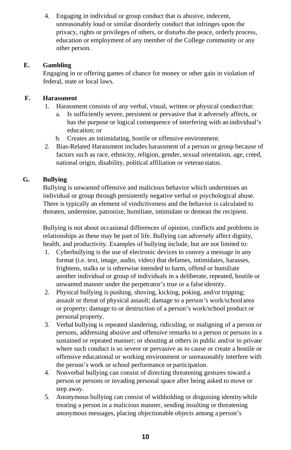4. Engaging in individual or group conduct that is abusive, indecent, unreasonably loud or similar disorderly conduct that infringes upon the privacy, rights or privileges of others, or disturbs the peace, orderly process, education or employment of any member of the College community or any other person.

### **E. Gambling**

Engaging in or offering games of chance for money or other gain in violation of federal, state or local laws.

#### **F. Harassment**

- 1. Harassment consists of any verbal, visual, written or physical conduct that:
	- a. Is sufficiently severe, persistent or pervasive that it adversely affects, or has the purpose or logical consequence of interfering with an individual's education; or
	- b. Creates an intimidating, hostile or offensive environment.
- 2. Bias-Related Harassment includes harassment of a person or group because of factors such as race, ethnicity, religion, gender, sexual orientation, age, creed, national origin, disability, political affiliation or veteran status.

### **G. Bullying**

Bullying is unwanted offensive and malicious behavior which undermines an individual or group through persistently negative verbal or psychological abuse. There is typically an element of vindictiveness and the behavior is calculated to threaten, undermine, patronize, humiliate, intimidate or demean the recipient.

Bullying is not about occasional differences of opinion, conflicts and problems in relationships as these may be part of life. Bullying can adversely affect dignity, health, and productivity. Examples of bullying include, but are not limited to:

- 1. Cyberbullying is the use of electronic devices to convey a message in any format (i.e. text, image, audio, video) that defames, intimidates, harasses, frightens, stalks or is otherwise intended to harm, offend or humiliate another individual or group of individuals in a deliberate, repeated, hostile or unwanted manner under the perpetrator's true or a false identity.
- 2. Physical bullying is pushing, shoving, kicking, poking, and/or tripping; assault or threat of physical assault; damage to a person's work/schoolarea or property; damage to or destruction of a person's work/school product or personal property.
- 3. Verbal bullying is repeated slandering, ridiculing, or maligning of a person or persons, addressing abusive and offensive remarks to a person or persons in a sustained or repeated manner; or shouting at others in public and/or in private where such conduct is so severe or pervasive as to cause or create a hostile or offensive educational or working environment or unreasonably interfere with the person's work or school performance or participation.
- 4. Nonverbal bullying can consist of directing threatening gestures toward a person or persons or invading personal space after being asked to move or step away.
- 5. Anonymous bullying can consist of withholding or disguising identitywhile treating a person in a malicious manner, sending insulting or threatening anonymous messages, placing objectionable objects among a person's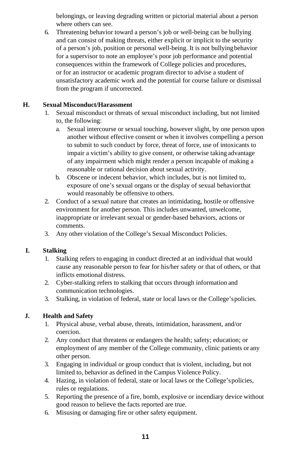belongings, or leaving degrading written or pictorial material about a person where others can see.

6. Threatening behavior toward a person's job or well-being can be bullying and can consist of making threats, either explicit or implicit to the security of a person's job, position or personal well-being. It is not bullyingbehavior for a supervisor to note an employee's poor job performance and potential consequences within the framework of College policies and procedures, or for an instructor or academic program director to advise a student of unsatisfactory academic work and the potential for course failure or dismissal from the program if uncorrected.

### **H. Sexual Misconduct/Harassment**

- 1. Sexual misconduct or threats of sexual misconduct including, but not limited to, the following:
	- a. Sexual intercourse or sexual touching, however slight, by one person upon another without effective consent or when it involves compelling a person to submit to such conduct by force, threat of force, use of intoxicants to impair a victim's ability to give consent, or otherwise taking advantage of any impairment which might render a person incapable of making a reasonable or rational decision about sexual activity.
	- b. Obscene or indecent behavior, which includes, but is not limited to, exposure of one's sexual organs or the display of sexual behaviorthat would reasonably be offensive to others.
- 2. Conduct of a sexual nature that creates an intimidating, hostile or offensive environment for another person. This includes unwanted, unwelcome, inappropriate or irrelevant sexual or gender-based behaviors, actions or comments.
- 3. Any other violation of the College's Sexual Misconduct Policies.

## **I. Stalking**

- 1. Stalking refers to engaging in conduct directed at an individual that would cause any reasonable person to fear for his/her safety or that of others, or that inflicts emotional distress.
- 2. Cyber-stalking refers to stalking that occurs through information and communication technologies.
- 3. Stalking, in violation of federal, state or local laws or the College'spolicies.

## **J. Health and Safety**

- 1. Physical abuse, verbal abuse, threats, intimidation, harassment, and/or coercion.
- 2. Any conduct that threatens or endangers the health; safety; education; or employment of any member of the College community, clinic patients or any other person.
- 3. Engaging in individual or group conduct that is violent, including, but not limited to, behavior as defined in the Campus Violence Policy.
- 4. Hazing, in violation of federal, state or local laws or the College'spolicies, rules or regulations.
- 5. Reporting the presence of a fire, bomb, explosive or incendiary device without good reason to believe the facts reported are true.
- 6. Misusing or damaging fire or other safety equipment.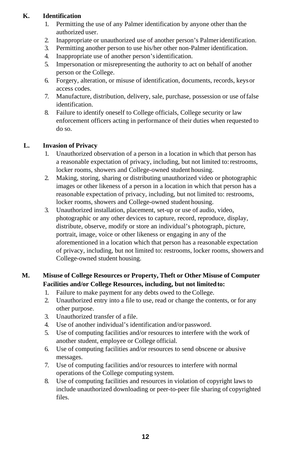### **K. Identification**

- 1. Permitting the use of any Palmer identification by anyone other than the authorized user.
- 2. Inappropriate or unauthorized use of another person's Palmeridentification.
- 3. Permitting another person to use his/her other non-Palmer identification.
- 4. Inappropriate use of another person'sidentification.
- 5. Impersonation or misrepresenting the authority to act on behalf of another person or the College.
- 6. Forgery, alteration, or misuse of identification, documents, records, keysor access codes.
- 7. Manufacture, distribution, delivery, sale, purchase, possession or use offalse identification.
- 8. Failure to identify oneself to College officials, College security or law enforcement officers acting in performance of their duties when requested to do so.

### **L. Invasion of Privacy**

- 1. Unauthorized observation of a person in a location in which that person has a reasonable expectation of privacy, including, but not limited to:restrooms, locker rooms, showers and College-owned student housing.
- 2. Making, storing, sharing or distributing unauthorized video or photographic images or other likeness of a person in a location in which that person has a reasonable expectation of privacy, including, but not limited to: restrooms, locker rooms, showers and College-owned student housing.
- 3. Unauthorized installation, placement, set-up or use of audio, video, photographic or any other devices to capture, record, reproduce, display, distribute, observe, modify or store an individual's photograph, picture, portrait, image, voice or other likeness or engaging in any of the aforementioned in a location which that person has a reasonable expectation of privacy, including, but not limited to: restrooms, locker rooms, showers and College-owned student housing.

# **M. Misuse of College Resources or Property, Theft or Other Misuse of Computer Facilities and/or College Resources, including, but not limitedto:**

- 1. Failure to make payment for any debts owed to the College.
- 2. Unauthorized entry into a file to use, read or change the contents, or for any other purpose.
- 3. Unauthorized transfer of a file.
- 4. Use of another individual's identification and/or password.
- 5. Use of computing facilities and/or resources to interfere with the work of another student, employee or College official.
- 6. Use of computing facilities and/or resources to send obscene or abusive messages.
- 7. Use of computing facilities and/or resources to interfere with normal operations of the College computing system.
- 8. Use of computing facilities and resources in violation of copyright laws to include unauthorized downloading or peer-to-peer file sharing of copyrighted files.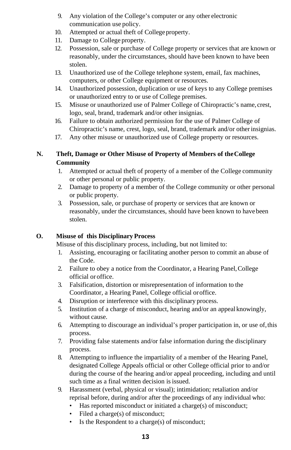- 9. Any violation of the College's computer or any other electronic communication use policy.
- 10. Attempted or actual theft of College property.
- 11. Damage to College property.
- 12. Possession, sale or purchase of College property or services that are known or reasonably, under the circumstances, should have been known to have been stolen.
- 13. Unauthorized use of the College telephone system, email, fax machines, computers, or other College equipment or resources.
- 14. Unauthorized possession, duplication or use of keys to any College premises or unauthorized entry to or use of College premises.
- 15. Misuse or unauthorized use of Palmer College of Chiropractic's name, crest, logo, seal, brand, trademark and/or other insignias.
- 16. Failure to obtain authorized permission for the use of Palmer College of Chiropractic's name, crest, logo, seal, brand, trademark and/or otherinsignias.
- 17. Any other misuse or unauthorized use of College property or resources.

### **N. Theft, Damage or Other Misuse of Property of Members of theCollege Community**

- 1. Attempted or actual theft of property of a member of the College community or other personal or public property.
- 2. Damage to property of a member of the College community or other personal or public property.
- 3. Possession, sale, or purchase of property or services that are known or reasonably, under the circumstances, should have been known to havebeen stolen.

### **O. Misuse of this Disciplinary Process**

Misuse of this disciplinary process, including, but not limited to:

- 1. Assisting, encouraging or facilitating another person to commit an abuse of the Code.
- 2. Failure to obey a notice from the Coordinator, a Hearing Panel,College official or office.
- 3. Falsification, distortion or misrepresentation of information to the Coordinator, a Hearing Panel, College official oroffice.
- 4. Disruption or interference with this disciplinary process.
- 5. Institution of a charge of misconduct, hearing and/or an appeal knowingly, without cause.
- 6. Attempting to discourage an individual's proper participation in, or use of,this process.
- 7. Providing false statements and/or false information during the disciplinary process.
- 8. Attempting to influence the impartiality of a member of the Hearing Panel, designated College Appeals official or other College official prior to and/or during the course of the hearing and/or appeal proceeding, including and until such time as a final written decision is issued.
- 9. Harassment (verbal, physical or visual); intimidation; retaliation and/or reprisal before, during and/or after the proceedings of any individual who:
	- Has reported misconduct or initiated a charge(s) of misconduct;
	- Filed a charge(s) of misconduct;
	- Is the Respondent to a charge(s) of misconduct;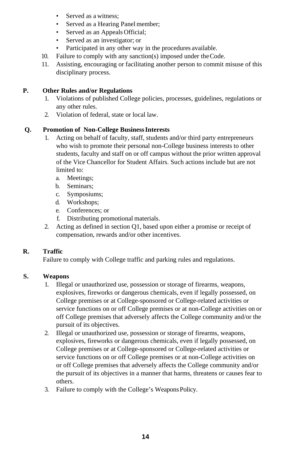- Served as a witness:
- Served as a Hearing Panel member;
- Served as an Appeals Official;
- Served as an investigator; or
- Participated in any other way in the procedures available.
- 10. Failure to comply with any sanction(s) imposed under theCode.
- 11. Assisting, encouraging or facilitating another person to commit misuse of this disciplinary process.

#### **P. Other Rules and/or Regulations**

- 1. Violations of published College policies, processes, guidelines, regulations or any other rules.
- 2. Violation of federal, state or local law.

#### **Q. Promotion of Non-College BusinessInterests**

- 1. Acting on behalf of faculty, staff, students and/or third party entrepreneurs who wish to promote their personal non-College business interests to other students, faculty and staff on or off campus without the prior written approval of the Vice Chancellor for Student Affairs. Such actions include but are not limited to:
	- a. Meetings;
	- b. Seminars;
	- c. Symposiums;
	- d. Workshops;
	- e. Conferences; or
	- f. Distributing promotional materials.
- 2. Acting as defined in section Q1, based upon either a promise or receipt of compensation, rewards and/or other incentives.

### **R. Traffic**

Failure to comply with College traffic and parking rules and regulations.

#### **S. Weapons**

- 1. Illegal or unauthorized use, possession or storage of firearms, weapons, explosives, fireworks or dangerous chemicals, even if legally possessed, on College premises or at College-sponsored or College-related activities or service functions on or off College premises or at non-College activities on or off College premises that adversely affects the College community and/or the pursuit of its objectives.
- 2. Illegal or unauthorized use, possession or storage of firearms, weapons, explosives, fireworks or dangerous chemicals, even if legally possessed, on College premises or at College-sponsored or College-related activities or service functions on or off College premises or at non-College activities on or off College premises that adversely affects the College community and/or the pursuit of its objectives in a manner that harms, threatens or causes fear to others.
- 3. Failure to comply with the College's WeaponsPolicy.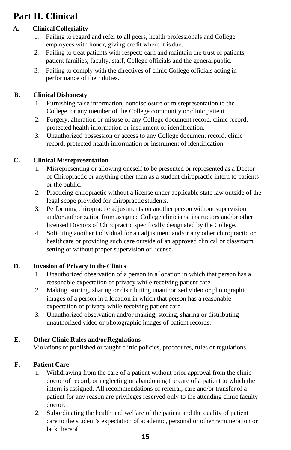# **Part II. Clinical**

# **A. Clinical Collegiality**

- 1. Failing to regard and refer to all peers, health professionals and College employees with honor, giving credit where it is due.
- 2. Failing to treat patients with respect; earn and maintain the trust of patients, patient families, faculty, staff, College officials and the generalpublic.
- 3. Failing to comply with the directives of clinic College officials acting in performance of their duties.

# **B. Clinical Dishonesty**

- 1. Furnishing false information, nondisclosure or misrepresentation to the College, or any member of the College community or clinic patient.
- 2. Forgery, alteration or misuse of any College document record, clinic record, protected health information or instrument of identification.
- 3. Unauthorized possession or access to any College document record, clinic record, protected health information or instrument of identification.

# **C. Clinical Misrepresentation**

- 1. Misrepresenting or allowing oneself to be presented or represented as a Doctor of Chiropractic or anything other than as a student chiropractic intern to patients or the public.
- 2. Practicing chiropractic without a license under applicable state law outside of the legal scope provided for chiropractic students.
- 3. Performing chiropractic adjustments on another person without supervision and/or authorization from assigned College clinicians, instructors and/or other licensed Doctors of Chiropractic specifically designated by the College.
- 4. Soliciting another individual for an adjustment and/or any other chiropractic or healthcare or providing such care outside of an approved clinical or classroom setting or without proper supervision or license.

# **D. Invasion of Privacy in the Clinics**

- 1. Unauthorized observation of a person in a location in which that person has a reasonable expectation of privacy while receiving patient care.
- 2. Making, storing, sharing or distributing unauthorized video or photographic images of a person in a location in which that person has a reasonable expectation of privacy while receiving patient care.
- 3. Unauthorized observation and/or making, storing, sharing or distributing unauthorized video or photographic images of patient records.

# **E. Other Clinic Rules and/orRegulations**

Violations of published or taught clinic policies, procedures, rules or regulations.

# **F. Patient Care**

- 1. Withdrawing from the care of a patient without prior approval from the clinic doctor of record, or neglecting or abandoning the care of a patient to which the intern is assigned. All recommendations of referral, care and/or transfer of a patient for any reason are privileges reserved only to the attending clinic faculty doctor.
- 2. Subordinating the health and welfare of the patient and the quality of patient care to the student's expectation of academic, personal or other remuneration or lack thereof.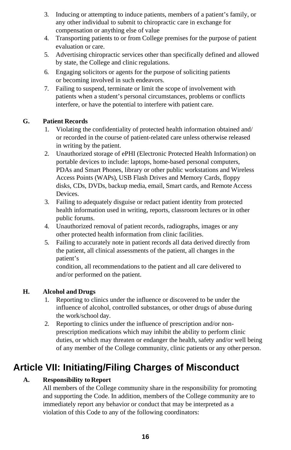- 3. Inducing or attempting to induce patients, members of a patient's family, or any other individual to submit to chiropractic care in exchange for compensation or anything else of value
- 4. Transporting patients to or from College premises for the purpose of patient evaluation or care.
- 5. Advertising chiropractic services other than specifically defined and allowed by state, the College and clinic regulations.
- 6. Engaging solicitors or agents for the purpose of soliciting patients or becoming involved in such endeavors.
- 7. Failing to suspend, terminate or limit the scope of involvement with patients when a student's personal circumstances, problems or conflicts interfere, or have the potential to interfere with patient care.

## **G. Patient Records**

- 1. Violating the confidentiality of protected health information obtained and/ or recorded in the course of patient-related care unless otherwise released in writing by the patient.
- 2. Unauthorized storage of ePHI (Electronic Protected Health Information) on portable devices to include: laptops, home-based personal computers, PDAs and Smart Phones, library or other public workstations and Wireless Access Points (WAPs), USB Flash Drives and Memory Cards, floppy disks, CDs, DVDs, backup media, email, Smart cards, and Remote Access Devices.
- 3. Failing to adequately disguise or redact patient identity from protected health information used in writing, reports, classroom lectures or in other public forums.
- 4. Unauthorized removal of patient records, radiographs, images or any other protected health information from clinic facilities.
- 5. Failing to accurately note in patient records all data derived directly from the patient, all clinical assessments of the patient, all changes in the patient's

condition, all recommendations to the patient and all care delivered to and/or performed on the patient.

## **H. Alcohol and Drugs**

- 1. Reporting to clinics under the influence or discovered to be under the influence of alcohol, controlled substances, or other drugs of abuse during the work/school day.
- 2. Reporting to clinics under the influence of prescription and/or nonprescription medications which may inhibit the ability to perform clinic duties, or which may threaten or endanger the health, safety and/or well being of any member of the College community, clinic patients or any other person.

# **Article VII: Initiating/Filing Charges of Misconduct**

# **A. Responsibility toReport**

All members of the College community share in the responsibility for promoting and supporting the Code. In addition, members of the College community are to immediately report any behavior or conduct that may be interpreted as a violation of this Code to any of the following coordinators: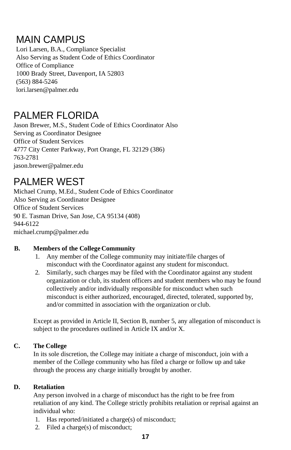# MAIN CAMPUS

Lori Larsen, B.A., Compliance Specialist Also Serving as Student Code of Ethics Coordinator Office of Compliance 1000 Brady Street, Davenport, IA 52803 (563) 884-5246 [lori.larsen@palmer.edu](mailto:lori.larsen@palmer.edu)

# PALMER FLORIDA

Jason Brewer, M.S., Student Code of Ethics Coordinator Also Serving as Coordinator Designee Office of Student Services 4777 City Center Parkway, Port Orange, FL 32129 (386) 763-2781 jason.brewe[r@palmer.edu](mailto:cheryl.shaw@palmer.edu)

# PALMER WEST

Michael Crump, M.Ed., Student Code of Ethics Coordinator Also Serving as Coordinator Designee Office of Student Services 90 E. Tasman Drive, San Jose, CA 95134 (408) 944-6122 [michael.crump@palmer.edu](mailto:michael.crump@palmer.edu)

## **B. Members of the College Community**

- 1. Any member of the College community may initiate/file charges of misconduct with the Coordinator against any student for misconduct.
- 2. Similarly, such charges may be filed with the Coordinator against any student organization or club, its student officers and student members who may be found collectively and/or individually responsible for misconduct when such misconduct is either authorized, encouraged, directed, tolerated, supported by, and/or committed in association with the organization or club.

Except as provided in Article II, Section B, number 5, any allegation of misconduct is subject to the procedures outlined in Article IX and/or X.

# **C. The College**

In its sole discretion, the College may initiate a charge of misconduct, join with a member of the College community who has filed a charge or follow up and take through the process any charge initially brought by another.

## **D. Retaliation**

Any person involved in a charge of misconduct has the right to be free from retaliation of any kind. The College strictly prohibits retaliation or reprisal against an individual who:

- 1. Has reported/initiated a charge(s) of misconduct;
- 2. Filed a charge(s) of misconduct;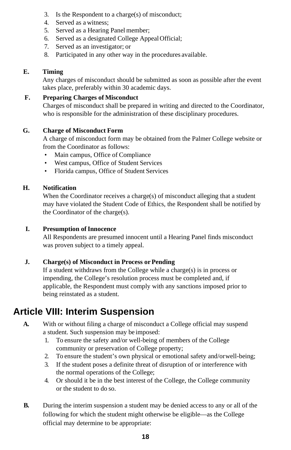- 3. Is the Respondent to a charge(s) of misconduct;
- 4. Served as a witness;
- 5. Served as a Hearing Panel member;
- 6. Served as a designated College AppealOfficial;
- 7. Served as an investigator; or
- 8. Participated in any other way in the procedures available.

#### **E. Timing**

Any charges of misconduct should be submitted as soon as possible after the event takes place, preferably within 30 academic days.

#### **F. Preparing Charges of Misconduct**

Charges of misconduct shall be prepared in writing and directed to the Coordinator, who is responsible for the administration of these disciplinary procedures.

#### **G. Charge of Misconduct Form**

A charge of misconduct form may be obtained from the Palmer College website or from the Coordinator as follows:

- Main campus, Office of Compliance
- West campus, Office of Student Services
- Florida campus, Office of Student Services

### **H. Notification**

When the Coordinator receives a charge(s) of misconduct alleging that a student may have violated the Student Code of Ethics, the Respondent shall be notified by the Coordinator of the charge(s).

#### **I.** Presumption of Innocence

All Respondents are presumed innocent until a Hearing Panel finds misconduct was proven subject to a timely appeal.

### **J. Charge(s) of Misconduct in Process or Pending**

If a student withdraws from the College while a charge(s) is in process or impending, the College's resolution process must be completed and, if applicable, the Respondent must comply with any sanctions imposed prior to being reinstated as a student.

# **Article VIII: Interim Suspension**

- **A.** With or without filing a charge of misconduct a College official may suspend a student. Such suspension may be imposed:
	- 1. To ensure the safety and/or well-being of members of the College community or preservation of College property;
	- 2. To ensure the student's own physical or emotional safety and/orwell-being;
	- 3. If the student poses a definite threat of disruption of or interference with the normal operations of the College;
	- 4. Or should it be in the best interest of the College, the College community or the student to do so.
- **B.** During the interim suspension a student may be denied access to any or all of the following for which the student might otherwise be eligible—as the College official may determine to be appropriate: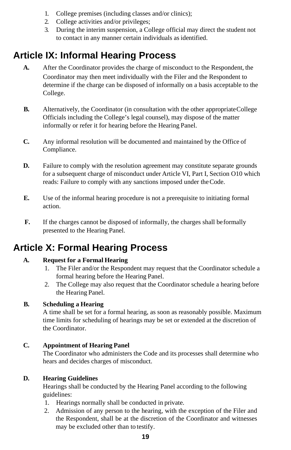- 1. College premises (including classes and/or clinics);
- 2. College activities and/or privileges;
- 3. During the interim suspension, a College official may direct the student not to contact in any manner certain individuals as identified.

# **Article IX: Informal Hearing Process**

- **A.** After the Coordinator provides the charge of misconduct to the Respondent, the Coordinator may then meet individually with the Filer and the Respondent to determine if the charge can be disposed of informally on a basis acceptable to the College.
- **B.** Alternatively, the Coordinator (in consultation with the other appropriate College Officials including the College's legal counsel), may dispose of the matter informally or refer it for hearing before the Hearing Panel.
- **C.** Any informal resolution will be documented and maintained by the Office of Compliance.
- **D.** Failure to comply with the resolution agreement may constitute separate grounds for a subsequent charge of misconduct under Article VI, Part I, Section O10 which reads: Failure to comply with any sanctions imposed under theCode.
- **E.** Use of the informal hearing procedure is not a prerequisite to initiating formal action.
- **F.** If the charges cannot be disposed of informally, the charges shall beformally presented to the Hearing Panel.

# **Article X: Formal Hearing Process**

# **A. Request for a Formal Hearing**

- 1. The Filer and/or the Respondent may request that the Coordinator schedule a formal hearing before the Hearing Panel.
- 2. The College may also request that the Coordinator schedule a hearing before the Hearing Panel.

## **B. Scheduling a Hearing**

A time shall be set for a formal hearing, as soon as reasonably possible. Maximum time limits for scheduling of hearings may be set or extended at the discretion of the Coordinator.

## **C. Appointment of Hearing Panel**

The Coordinator who administers the Code and its processes shall determine who hears and decides charges of misconduct.

## **D. Hearing Guidelines**

Hearings shall be conducted by the Hearing Panel according to the following guidelines:

- 1. Hearings normally shall be conducted in private.
- 2. Admission of any person to the hearing, with the exception of the Filer and the Respondent, shall be at the discretion of the Coordinator and witnesses may be excluded other than to testify.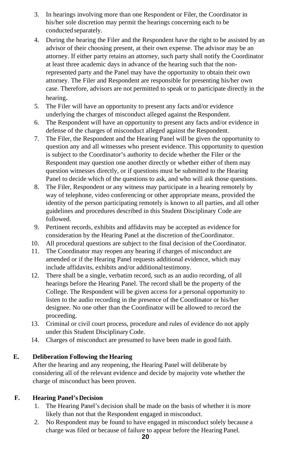- 3. In hearings involving more than one Respondent or Filer, the Coordinator in his/her sole discretion may permit the hearings concerning each to be conducted separately.
- 4. During the hearing the Filer and the Respondent have the right to be assisted by an advisor of their choosing present, at their own expense. The advisor may be an attorney. If either party retains an attorney, such party shall notify the Coordinator at least three academic days in advance of the hearing such that the nonrepresented party and the Panel may have the opportunity to obtain their own attorney. The Filer and Respondent are responsible for presenting his/her own case. Therefore, advisors are not permitted to speak or to participate directly in the hearing.
- 5. The Filer will have an opportunity to present any facts and/or evidence underlying the charges of misconduct alleged against the Respondent.
- 6. The Respondent will have an opportunity to present any facts and/or evidence in defense of the charges of misconduct alleged against the Respondent.
- 7. The Filer, the Respondent and the Hearing Panel will be given the opportunity to question any and all witnesses who present evidence. This opportunity to question is subject to the Coordinator's authority to decide whether the Filer or the Respondent may question one another directly or whether either of them may question witnesses directly, or if questions must be submitted to the Hearing Panel to decide which of the questions to ask, and who will ask those questions.
- 8. The Filer, Respondent or any witness may participate in a hearing remotely by way of telephone, video conferencing or other appropriate means, provided the identity of the person participating remotely is known to all parties, and all other guidelines and procedures described in this Student Disciplinary Code are followed.
- 9. Pertinent records, exhibits and affidavits may be accepted as evidence for consideration by the Hearing Panel at the discretion of theCoordinator.
- 10. All procedural questions are subject to the final decision of theCoordinator.
- 11. The Coordinator may reopen any hearing if charges of misconduct are amended or if the Hearing Panel requests additional evidence, which may include affidavits, exhibits and/or additional testimony.
- 12. There shall be a single, verbatim record, such as an audio recording, of all hearings before the Hearing Panel. The record shall be the property of the College. The Respondent will be given access for a personal opportunity to listen to the audio recording in the presence of the Coordinator or his/her designee. No one other than the Coordinator will be allowed to record the proceeding.
- 13. Criminal or civil court process, procedure and rules of evidence do not apply under this Student DisciplinaryCode.
- 14. Charges of misconduct are presumed to have been made in good faith.

## **E. Deliberation Following the Hearing**

After the hearing and any reopening, the Hearing Panel will deliberate by considering all of the relevant evidence and decide by majority vote whether the charge of misconduct has been proven.

## **F. Hearing Panel's Decision**

- 1. The Hearing Panel's decision shall be made on the basis of whether it is more likely than not that the Respondent engaged in misconduct.
- 2. No Respondent may be found to have engaged in misconduct solely because a charge was filed or because of failure to appear before the Hearing Panel.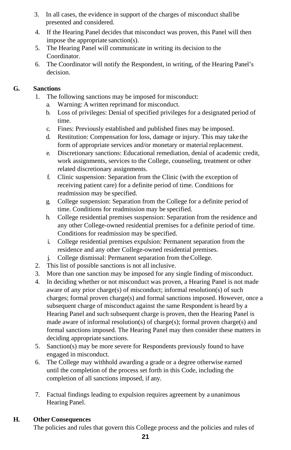- 3. In all cases, the evidence in support of the charges of misconduct shall be presented and considered.
- 4. If the Hearing Panel decides that misconduct was proven, this Panel will then impose the appropriate sanction(s).
- 5. The Hearing Panel will communicate in writing its decision to the Coordinator.
- 6. The Coordinator will notify the Respondent, in writing, of the Hearing Panel's decision.

### **G. Sanctions**

- 1. The following sanctions may be imposed for misconduct:
	- a. Warning: A written reprimand for misconduct.
	- b. Loss of privileges: Denial of specified privileges for a designated period of time.
	- c. Fines: Previously established and published fines may be imposed.
	- d. Restitution: Compensation for loss, damage or injury. This may take the form of appropriate services and/or monetary or material replacement.
	- e. Discretionary sanctions: Educational remediation, denial of academic credit, work assignments, services to the College, counseling, treatment or other related discretionary assignments.
	- f. Clinic suspension: Separation from the Clinic (with the exception of receiving patient care) for a definite period of time. Conditions for readmission may be specified.
	- g. College suspension: Separation from the College for a definite period of time. Conditions for readmission may be specified.
	- h. College residential premises suspension: Separation from the residence and any other College-owned residential premises for a definite period of time. Conditions for readmission may be specified.
	- i. College residential premises expulsion: Permanent separation from the residence and any other College-owned residential premises.
	- j. College dismissal: Permanent separation from theCollege.
- 2. This list of possible sanctions is not all inclusive.
- 3. More than one sanction may be imposed for any single finding of misconduct.
- 4. In deciding whether or not misconduct was proven, a Hearing Panel is not made aware of any prior charge(s) of misconduct; informal resolution(s) of such charges; formal proven charge(s) and formal sanctions imposed. However, once a subsequent charge of misconduct against the same Respondent is heard by a Hearing Panel and such subsequent charge is proven, then the Hearing Panel is made aware of informal resolution(s) of charge(s); formal proven charge(s) and formal sanctions imposed. The Hearing Panel may then consider these matters in deciding appropriate sanctions.
- 5. Sanction(s) may be more severe for Respondents previously found to have engaged in misconduct.
- 6. The College may withhold awarding a grade or a degree otherwise earned until the completion of the process set forth in this Code, including the completion of all sanctions imposed, if any.
- 7. Factual findings leading to expulsion requires agreement by a unanimous Hearing Panel.

## **H. Other Consequences**

The policies and rules that govern this College process and the policies and rules of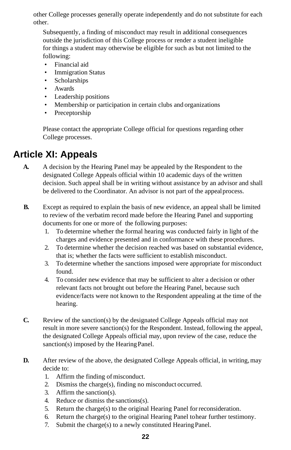other College processes generally operate independently and do not substitute for each other.

Subsequently, a finding of misconduct may result in additional consequences outside the jurisdiction of this College process or render a student ineligible for things a student may otherwise be eligible for such as but not limited to the following:

- Financial aid
- **Immigration Status**
- Scholarships
- Awards
- Leadership positions
- Membership or participation in certain clubs and organizations
- Preceptorship

Please contact the appropriate College official for questions regarding other College processes.

# **Article XI: Appeals**

- **A.** A decision by the Hearing Panel may be appealed by the Respondent to the designated College Appeals official within 10 academic days of the written decision. Such appeal shall be in writing without assistance by an advisor and shall be delivered to the Coordinator. An advisor is not part of the appealprocess.
- **B.** Except as required to explain the basis of new evidence, an appeal shall be limited to review of the verbatim record made before the Hearing Panel and supporting documents for one or more of the following purposes:
	- 1. To determine whether the formal hearing was conducted fairly in light of the charges and evidence presented and in conformance with these procedures.
	- 2. To determine whether the decision reached was based on substantial evidence, that is; whether the facts were sufficient to establish misconduct.
	- 3. To determine whether the sanctions imposed were appropriate for misconduct found.
	- 4. To consider new evidence that may be sufficient to alter a decision or other relevant facts not brought out before the Hearing Panel, because such evidence/facts were not known to the Respondent appealing at the time of the hearing.
- **C.** Review of the sanction(s) by the designated College Appeals official may not result in more severe sanction(s) for the Respondent. Instead, following the appeal, the designated College Appeals official may, upon review of the case, reduce the sanction(s) imposed by the Hearing Panel.
- **D.** After review of the above, the designated College Appeals official, in writing, may decide to:
	- 1. Affirm the finding of misconduct.
	- 2. Dismiss the charge(s), finding no misconduct occurred.
	- 3. Affirm the sanction(s).
	- 4. Reduce or dismiss the sanctions(s).
	- 5. Return the charge(s) to the original Hearing Panel forreconsideration.
	- 6. Return the charge(s) to the original Hearing Panel tohear further testimony.
	- 7. Submit the charge(s) to a newly constituted HearingPanel.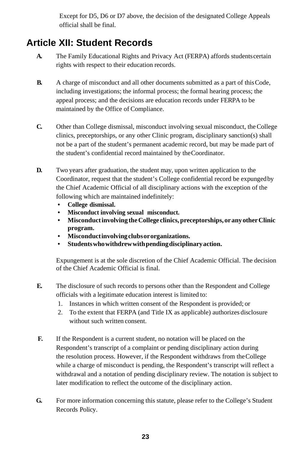Except for D5, D6 or D7 above, the decision of the designated College Appeals official shall be final.

# **Article XII: Student Records**

- **A.** The Family Educational Rights and Privacy Act (FERPA) affords studentscertain rights with respect to their education records.
- **B.** A charge of misconduct and all other documents submitted as a part of thisCode, including investigations; the informal process; the formal hearing process; the appeal process; and the decisions are education records under FERPA to be maintained by the Office of Compliance.
- **C.** Other than College dismissal, misconduct involving sexual misconduct, the College clinics, preceptorships, or any other Clinic program, disciplinary sanction(s) shall not be a part of the student's permanent academic record, but may be made part of the student's confidential record maintained by theCoordinator.
- **D.** Two years after graduation, the student may, upon written application to the Coordinator, request that the student's College confidential record be expungedby the Chief Academic Official of all disciplinary actions with the exception of the following which are maintained indefinitely:
	- **• College dismissal.**
	- **• Misconduct involving sexual misconduct.**
	- **• Misconductinvolving theCollege clinics,preceptorships,orany otherClinic program.**
	- **• Misconductinvolvingclubsororganizations.**
	- **• Studentswhowithdrewwithpendingdisciplinaryaction.**

Expungement is at the sole discretion of the Chief Academic Official. The decision of the Chief Academic Official is final.

- **E.** The disclosure of such records to persons other than the Respondent and College officials with a legitimate education interest is limited to:
	- 1. Instances in which written consent of the Respondent is provided; or
	- 2. To the extent that FERPA (and Title IX as applicable) authorizes disclosure without such written consent.
- **F.** If the Respondent is a current student, no notation will be placed on the Respondent's transcript of a complaint or pending disciplinary action during the resolution process. However, if the Respondent withdraws from theCollege while a charge of misconduct is pending, the Respondent's transcript will reflect a withdrawal and a notation of pending disciplinary review. The notation is subject to later modification to reflect the outcome of the disciplinary action.
- **G.** For more information concerning this statute, please refer to the College's Student Records Policy.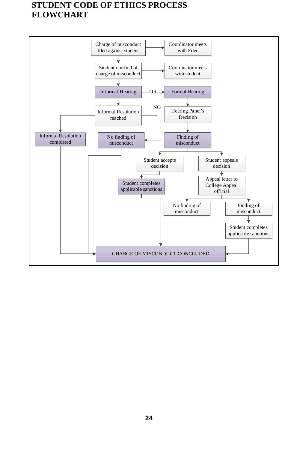# **STUDENT CODE OF ETHICS PROCESS FLOWCHART**